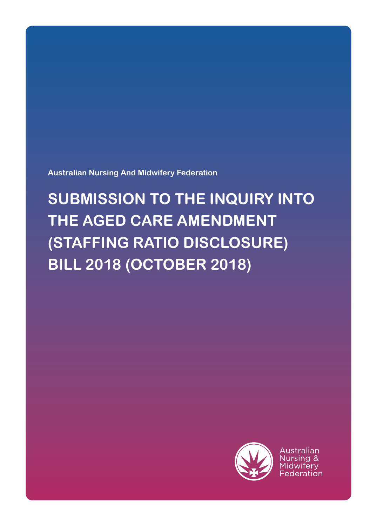**Australian Nursing And Midwifery Federation**

# **SUBMISSION TO THE INQUIRY INTO THE AGED CARE AMENDMENT (STAFFING RATIO DISCLOSURE) BILL 2018 (OCTOBER 2018)**

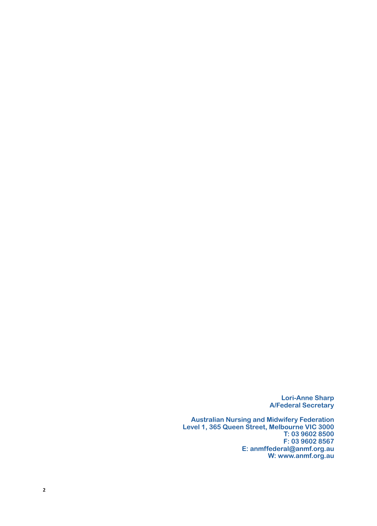**Lori-Anne Sharp A/Federal Secretary**

**Australian Nursing and Midwifery Federation Level 1, 365 Queen Street, Melbourne VIC 3000 T: 03 9602 8500 F: 03 9602 8567 E: anmffederal@anmf.org.au W: www.anmf.org.au**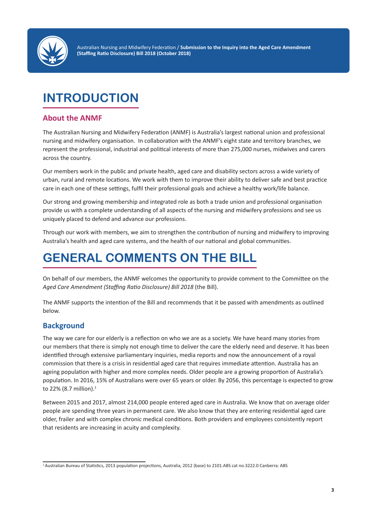

Australian Nursing and Midwifery Federation / **Submission to the Inquiry into the Aged Care Amendment (Staffing Ratio Disclosure) Bill 2018 (October 2018)**

# **INTRODUCTION**

### **About the ANMF**

The Australian Nursing and Midwifery Federation (ANMF) is Australia's largest national union and professional nursing and midwifery organisation. In collaboration with the ANMF's eight state and territory branches, we represent the professional, industrial and political interests of more than 275,000 nurses, midwives and carers across the country.

Our members work in the public and private health, aged care and disability sectors across a wide variety of urban, rural and remote locations. We work with them to improve their ability to deliver safe and best practice care in each one of these settings, fulfil their professional goals and achieve a healthy work/life balance.

Our strong and growing membership and integrated role as both a trade union and professional organisation provide us with a complete understanding of all aspects of the nursing and midwifery professions and see us uniquely placed to defend and advance our professions.

Through our work with members, we aim to strengthen the contribution of nursing and midwifery to improving Australia's health and aged care systems, and the health of our national and global communities.

# **GENERAL COMMENTS ON THE BILL**

On behalf of our members, the ANMF welcomes the opportunity to provide comment to the Committee on the *Aged Care Amendment (Staffing Ratio Disclosure) Bill 2018* (the Bill).

The ANMF supports the intention of the Bill and recommends that it be passed with amendments as outlined below.

## **Background**

The way we care for our elderly is a reflection on who we are as a society. We have heard many stories from our members that there is simply not enough time to deliver the care the elderly need and deserve. It has been identified through extensive parliamentary inquiries, media reports and now the announcement of a royal commission that there is a crisis in residential aged care that requires immediate attention. Australia has an ageing population with higher and more complex needs. Older people are a growing proportion of Australia's population. In 2016, 15% of Australians were over 65 years or older. By 2056, this percentage is expected to grow to 22% (8.7 million).1

Between 2015 and 2017, almost 214,000 people entered aged care in Australia. We know that on average older people are spending three years in permanent care. We also know that they are entering residential aged care older, frailer and with complex chronic medical conditions. Both providers and employees consistently report that residents are increasing in acuity and complexity.

<sup>1</sup> Australian Bureau of Statistics, 2013 population projections, Australia, 2012 (base) to 2101.ABS cat no.3222.0 Canberra: ABS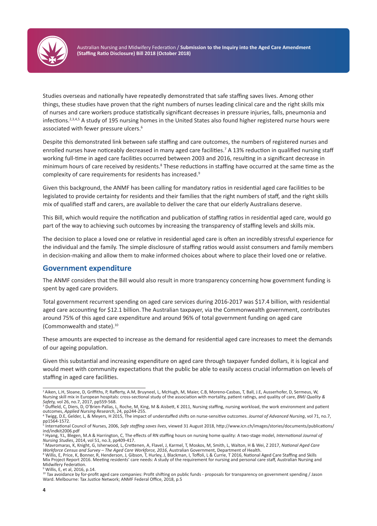

Australian Nursing and Midwifery Federation / **Submission to the Inquiry into the Aged Care Amendment (Staffing Ratio Disclosure) Bill 2018 (October 2018)**

Studies overseas and nationally have repeatedly demonstrated that safe staffing saves lives. Among other things, these studies have proven that the right numbers of nurses leading clinical care and the right skills mix of nurses and care workers produce statistically significant decreases in pressure injuries, falls, pneumonia and infections.2,3,4,5 A study of 195 nursing homes in the United States also found higher registered nurse hours were associated with fewer pressure ulcers.6

Despite this demonstrated link between safe staffing and care outcomes, the numbers of registered nurses and enrolled nurses have noticeably decreased in many aged care facilities.<sup>7</sup> A 13% reduction in qualified nursing staff working full-time in aged care facilities occurred between 2003 and 2016, resulting in a significant decrease in minimum hours of care received by residents.<sup>8</sup> These reductions in staffing have occurred at the same time as the complexity of care requirements for residents has increased.9

Given this background, the ANMF has been calling for mandatory ratios in residential aged care facilities to be legislated to provide certainty for residents and their families that the right numbers of staff, and the right skills mix of qualified staff and carers, are available to deliver the care that our elderly Australians deserve.

This Bill, which would require the notification and publication of staffing ratios in residential aged care, would go part of the way to achieving such outcomes by increasing the transparency of staffing levels and skills mix.

The decision to place a loved one or relative in residential aged care is often an incredibly stressful experience for the individual and the family. The simple disclosure of staffing ratios would assist consumers and family members in decision-making and allow them to make informed choices about where to place their loved one or relative.

### **Government expenditure**

The ANMF considers that the Bill would also result in more transparency concerning how government funding is spent by aged care providers.

Total government recurrent spending on aged care services during 2016-2017 was \$17.4 billion, with residential aged care accounting for \$12.1 billion. The Australian taxpayer, via the Commonwealth government, contributes around 75% of this aged care expenditure and around 96% of total government funding on aged care (Commonwealth and state).10

These amounts are expected to increase as the demand for residential aged care increases to meet the demands of our ageing population.

Given this substantial and increasing expenditure on aged care through taxpayer funded dollars, it is logical and would meet with community expectations that the public be able to easily access crucial information on levels of staffing in aged care facilities.

<sup>3</sup> Duffield, C, Diers, D, O'Brien-Pallas, L, Roche, M, King, M & Aisbett, K 2011, Nursing staffing, nursing workload, the work environment and patient outcomes, *Applied Nursing Research*, 24, pp244-255. <sup>4</sup> Twigg, D.E, Gelder, L, & Meyers, H 2015, The impact of understaffed shifts on nurse-sensitive outcomes. *Journal of Advanced Nursing*, vol 71, no.7,

<sup>&</sup>lt;sup>2</sup> Aiken, L.H, Sloane, D, Griffiths, P, Rafferty, A.M, Bruyneel, L, McHugh, M, Maier, C.B, Moreno-Casbas, T, Ball, J.E, Ausserhofer, D, Sermeus, W, Nursing skill mix in European hospitals: cross-sectional study of the association with mortality, patient ratings, and quality of care, *BMJ Quality & Safety, vol 26, no.7, 2017, pp559-568.*<br><sup>3</sup> Duffield, C. Diers, D. O'Brien-Pallas, I

pp1564-1572.<br><sup>5</sup> International International Council of Nurses, 2006, *Safe staffing saves lives*, viewed 31 August 2018, http://www.icn.ch/images/stories/documents/publications/

ind/indkit2006.pdf 6 Hyang, Y.L, Blegen, M.A & Harrington, C, The effects of RN staffing hours on nursing home quality: A two-stage model, *International Journal of* 

*Nursing Studies*, 2014, vol 51, no.3, pp409-417. <sup>7</sup> Mavromaras, K, Knight, G, Isherwood, L, Crettenen, A, Flavel, J, Karmel, T, Moskos, M, Smith, L, Walton, H & Wei, Z 2017, *National Aged Care* 

Workforce Census and Survey – The Aged Care Workforce, 2016, Australian Government, Department of Health.<br><sup>8</sup> Willis, E, Price, K, Bonner, R, Henderson, J, Gibson, T, Hurley, J, Blackman, I, Toffoli, L & Currie, T 2016, Na Mix Project Report 2016. Meeting residents' care needs: A study of the requirement for nursing and personal care staff, Australian Nursing and Midwifery Federation.

<sup>9</sup> Willis, E, et al, 2016, p.14.

<sup>10</sup> Tax avoidance by for-profit aged care companies: Profit shifting on public funds - proposals for transparency on government spending / Jason Ward. Melbourne: Tax Justice Network; ANMF Federal Office, 2018, p.5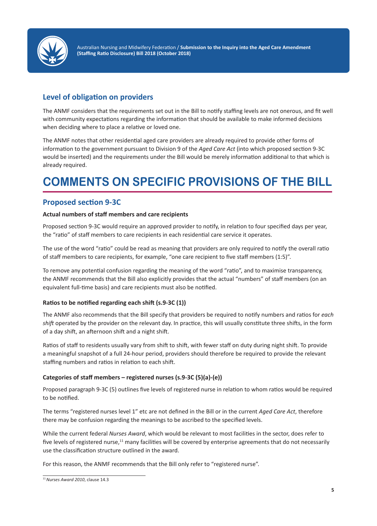

Australian Nursing and Midwifery Federation / **Submission to the Inquiry into the Aged Care Amendment (Staffing Ratio Disclosure) Bill 2018 (October 2018)**

# **Level of obligation on providers**

The ANMF considers that the requirements set out in the Bill to notify staffing levels are not onerous, and fit well with community expectations regarding the information that should be available to make informed decisions when deciding where to place a relative or loved one.

The ANMF notes that other residential aged care providers are already required to provide other forms of information to the government pursuant to Division 9 of the *Aged Care Act* (into which proposed section 9-3C would be inserted) and the requirements under the Bill would be merely information additional to that which is already required.

# **COMMENTS ON SPECIFIC PROVISIONS OF THE BILL**

### **Proposed section 9-3C**

### **Actual numbers of staff members and care recipients**

Proposed section 9-3C would require an approved provider to notify, in relation to four specified days per year, the "ratio" of staff members to care recipients in each residential care service it operates.

The use of the word "ratio" could be read as meaning that providers are only required to notify the overall ratio of staff members to care recipients, for example, "one care recipient to five staff members (1:5)".

To remove any potential confusion regarding the meaning of the word "ratio", and to maximise transparency, the ANMF recommends that the Bill also explicitly provides that the actual "numbers" of staff members (on an equivalent full-time basis) and care recipients must also be notified.

### **Ratios to be notified regarding each shift (s.9-3C (1))**

The ANMF also recommends that the Bill specify that providers be required to notify numbers and ratios for *each shift* operated by the provider on the relevant day. In practice, this will usually constitute three shifts, in the form of a day shift, an afternoon shift and a night shift.

Ratios of staff to residents usually vary from shift to shift, with fewer staff on duty during night shift. To provide a meaningful snapshot of a full 24-hour period, providers should therefore be required to provide the relevant staffing numbers and ratios in relation to each shift.

### **Categories of staff members – registered nurses (s.9-3C (5)(a)-(e))**

Proposed paragraph 9-3C (5) outlines five levels of registered nurse in relation to whom ratios would be required to be notified.

The terms "registered nurses level 1" etc are not defined in the Bill or in the current *Aged Care Act*, therefore there may be confusion regarding the meanings to be ascribed to the specified levels.

While the current federal *Nurses Award*, which would be relevant to most facilities in the sector, does refer to five levels of registered nurse, $11$  many facilities will be covered by enterprise agreements that do not necessarily use the classification structure outlined in the award.

For this reason, the ANMF recommends that the Bill only refer to "registered nurse".

<sup>11</sup> *Nurses Award 2010*, clause 14.3